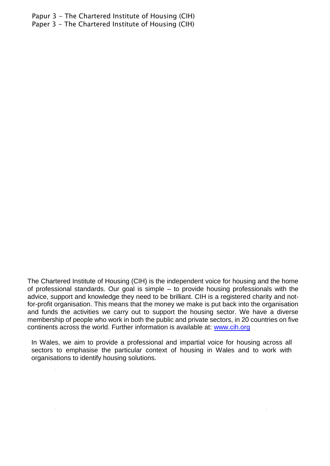Papur 3 - The Chartered Institute of Housing (CIH) Paper 3 - The Chartered Institute of Housing (CIH)

The Chartered Institute of Housing (CIH) is the independent voice for housing and the home of professional standards. Our goal is simple – to provide housing professionals with the advice, support and knowledge they need to be brilliant. CIH is a registered charity and notfor-profit organisation. This means that the money we make is put back into the organisation and funds the activities we carry out to support the housing sector. We have a diverse membership of people who work in both the public and private sectors, in 20 countries on five continents across the world. Further information is available at: [www.cih.org](http://www.cih.org/)

In Wales, we aim to provide a professional and impartial voice for housing across all sectors to emphasise the particular context of housing in Wales and to work with organisations to identify housing solutions.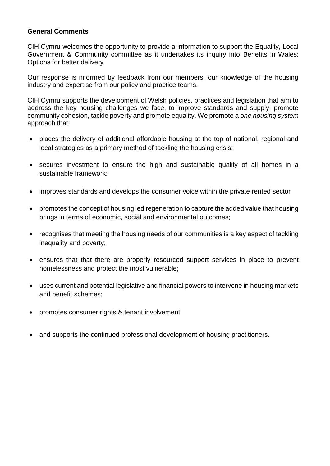#### **General Comments**

CIH Cymru welcomes the opportunity to provide a information to support the Equality, Local Government & Community committee as it undertakes its inquiry into Benefits in Wales: Options for better delivery

Our response is informed by feedback from our members, our knowledge of the housing industry and expertise from our policy and practice teams.

CIH Cymru supports the development of Welsh policies, practices and legislation that aim to address the key housing challenges we face, to improve standards and supply, promote community cohesion, tackle poverty and promote equality. We promote a *one housing system*  approach that:

- places the delivery of additional affordable housing at the top of national, regional and local strategies as a primary method of tackling the housing crisis;
- secures investment to ensure the high and sustainable quality of all homes in a sustainable framework;
- improves standards and develops the consumer voice within the private rented sector
- promotes the concept of housing led regeneration to capture the added value that housing brings in terms of economic, social and environmental outcomes;
- recognises that meeting the housing needs of our communities is a key aspect of tackling inequality and poverty;
- ensures that that there are properly resourced support services in place to prevent homelessness and protect the most vulnerable;
- uses current and potential legislative and financial powers to intervene in housing markets and benefit schemes;
- promotes consumer rights & tenant involvement;
- and supports the continued professional development of housing practitioners.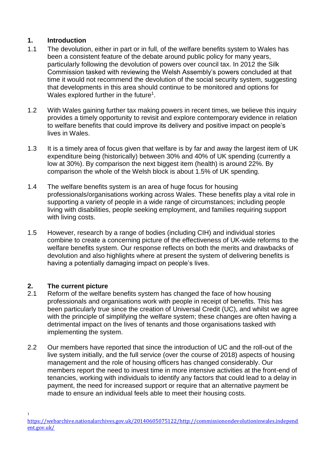### **1. Introduction**

- 1.1 The devolution, either in part or in full, of the welfare benefits system to Wales has been a consistent feature of the debate around public policy for many years, particularly following the devolution of powers over council tax. In 2012 the Silk Commission tasked with reviewing the Welsh Assembly's powers concluded at that time it would not recommend the devolution of the social security system, suggesting that developments in this area should continue to be monitored and options for Wales explored further in the future<sup>1</sup>.
- 1.2 With Wales gaining further tax making powers in recent times, we believe this inquiry provides a timely opportunity to revisit and explore contemporary evidence in relation to welfare benefits that could improve its delivery and positive impact on people's lives in Wales.
- 1.3 It is a timely area of focus given that welfare is by far and away the largest item of UK expenditure being (historically) between 30% and 40% of UK spending (currently a low at 30%). By comparison the next biggest item (health) is around 22%. By comparison the whole of the Welsh block is about 1.5% of UK spending.
- 1.4 The welfare benefits system is an area of huge focus for housing professionals/organisations working across Wales. These benefits play a vital role in supporting a variety of people in a wide range of circumstances; including people living with disabilities, people seeking employment, and families requiring support with living costs.
- 1.5 However, research by a range of bodies (including CIH) and individual stories combine to create a concerning picture of the effectiveness of UK-wide reforms to the welfare benefits system. Our response reflects on both the merits and drawbacks of devolution and also highlights where at present the system of delivering benefits is having a potentially damaging impact on people's lives.

# **2. The current picture**

1

- 2.1 Reform of the welfare benefits system has changed the face of how housing professionals and organisations work with people in receipt of benefits. This has been particularly true since the creation of Universal Credit (UC), and whilst we agree with the principle of simplifying the welfare system; these changes are often having a detrimental impact on the lives of tenants and those organisations tasked with implementing the system.
- 2.2 Our members have reported that since the introduction of UC and the roll-out of the live system initially, and the full service (over the course of 2018) aspects of housing management and the role of housing officers has changed considerably. Our members report the need to invest time in more intensive activities at the front-end of tenancies, working with individuals to identify any factors that could lead to a delay in payment, the need for increased support or require that an alternative payment be made to ensure an individual feels able to meet their housing costs.

[https://webarchive.nationalarchives.gov.uk/20140605075122/http://commissionondevolutioninwales.independ](https://webarchive.nationalarchives.gov.uk/20140605075122/http:/commissionondevolutioninwales.independent.gov.uk/) [ent.gov.uk/](https://webarchive.nationalarchives.gov.uk/20140605075122/http:/commissionondevolutioninwales.independent.gov.uk/)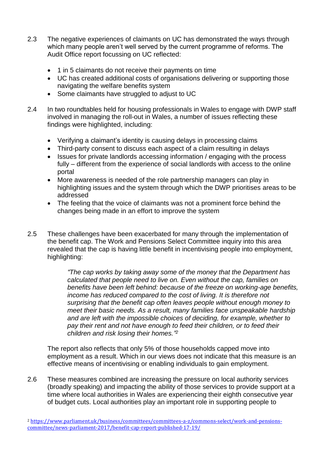- 2.3 The negative experiences of claimants on UC has demonstrated the ways through which many people aren't well served by the current programme of reforms. The Audit Office report focussing on UC reflected:
	- 1 in 5 claimants do not receive their payments on time
	- UC has created additional costs of organisations delivering or supporting those navigating the welfare benefits system
	- Some claimants have struggled to adjust to UC
- 2.4 In two roundtables held for housing professionals in Wales to engage with DWP staff involved in managing the roll-out in Wales, a number of issues reflecting these findings were highlighted, including:
	- Verifying a claimant's identity is causing delays in processing claims
	- Third-party consent to discuss each aspect of a claim resulting in delays
	- Issues for private landlords accessing information / engaging with the process fully – different from the experience of social landlords with access to the online portal
	- More awareness is needed of the role partnership managers can play in highlighting issues and the system through which the DWP prioritises areas to be addressed
	- The feeling that the voice of claimants was not a prominent force behind the changes being made in an effort to improve the system
- 2.5 These challenges have been exacerbated for many through the implementation of the benefit cap. The Work and Pensions Select Committee inquiry into this area revealed that the cap is having little benefit in incentivising people into employment, highlighting:

*"The cap works by taking away some of the money that the Department has calculated that people need to live on. Even without the cap, families on benefits have been left behind: because of the freeze on working-age benefits, income has reduced compared to the cost of living. It is therefore not surprising that the benefit cap often leaves people without enough money to meet their basic needs. As a result, many families face unspeakable hardship and are left with the impossible choices of deciding, for example, whether to pay their rent and not have enough to feed their children, or to feed their children and risk losing their homes." 2*

The report also reflects that only 5% of those households capped move into employment as a result. Which in our views does not indicate that this measure is an effective means of incentivising or enabling individuals to gain employment.

2.6 These measures combined are increasing the pressure on local authority services (broadly speaking) and impacting the ability of those services to provide support at a time where local authorities in Wales are experiencing their eighth consecutive year of budget cuts. Local authorities play an important role in supporting people to

<sup>&</sup>lt;sup>2</sup> [https://www.parliament.uk/business/committees/committees-a-z/commons-select/work-and-pensions](https://www.parliament.uk/business/committees/committees-a-z/commons-select/work-and-pensions-committee/news-parliament-2017/benefit-cap-report-published-17-19/)[committee/news-parliament-2017/benefit-cap-report-published-17-19/](https://www.parliament.uk/business/committees/committees-a-z/commons-select/work-and-pensions-committee/news-parliament-2017/benefit-cap-report-published-17-19/)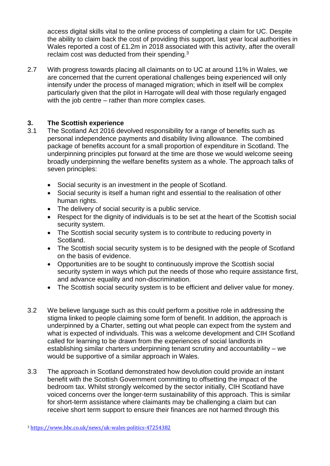access digital skills vital to the online process of completing a claim for UC. Despite the ability to claim back the cost of providing this support, last year local authorities in Wales reported a cost of £1.2m in 2018 associated with this activity, after the overall reclaim cost was deducted from their spending.<sup>3</sup>

2.7 With progress towards placing all claimants on to UC at around 11% in Wales, we are concerned that the current operational challenges being experienced will only intensify under the process of managed migration; which in itself will be complex particularly given that the pilot in Harrogate will deal with those regularly engaged with the job centre – rather than more complex cases.

### **3. The Scottish experience**

- 3.1 The Scotland Act 2016 devolved responsibility for a range of benefits such as personal independence payments and disability living allowance. The combined package of benefits account for a small proportion of expenditure in Scotland. The underpinning principles put forward at the time are those we would welcome seeing broadly underpinning the welfare benefits system as a whole. The approach talks of seven principles:
	- Social security is an investment in the people of Scotland.
	- Social security is itself a human right and essential to the realisation of other human rights.
	- The delivery of social security is a public service.
	- Respect for the dignity of individuals is to be set at the heart of the Scottish social security system.
	- The Scottish social security system is to contribute to reducing poverty in Scotland.
	- The Scottish social security system is to be designed with the people of Scotland on the basis of evidence.
	- Opportunities are to be sought to continuously improve the Scottish social security system in ways which put the needs of those who require assistance first, and advance equality and non-discrimination.
	- The Scottish social security system is to be efficient and deliver value for money.
- 3.2 We believe language such as this could perform a positive role in addressing the stigma linked to people claiming some form of benefit. In addition, the approach is underpinned by a Charter, setting out what people can expect from the system and what is expected of individuals. This was a welcome development and CIH Scotland called for learning to be drawn from the experiences of social landlords in establishing similar charters underpinning tenant scrutiny and accountability – we would be supportive of a similar approach in Wales.
- 3.3 The approach in Scotland demonstrated how devolution could provide an instant benefit with the Scottish Government committing to offsetting the impact of the bedroom tax. Whilst strongly welcomed by the sector initially, CIH Scotland have voiced concerns over the longer-term sustainability of this approach. This is similar for short-term assistance where claimants may be challenging a claim but can receive short term support to ensure their finances are not harmed through this

<sup>3</sup> <https://www.bbc.co.uk/news/uk-wales-politics-47254382>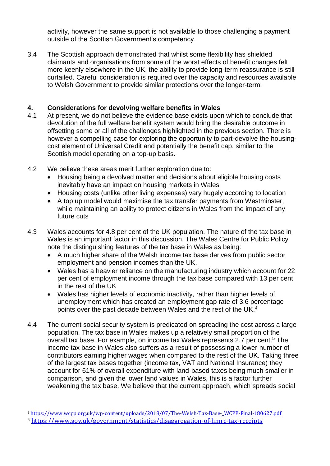activity, however the same support is not available to those challenging a payment outside of the Scottish Government's competency.

3.4 The Scottish approach demonstrated that whilst some flexibility has shielded claimants and organisations from some of the worst effects of benefit changes felt more keenly elsewhere in the UK, the ability to provide long-term reassurance is still curtailed. Careful consideration is required over the capacity and resources available to Welsh Government to provide similar protections over the longer-term.

## **4. Considerations for devolving welfare benefits in Wales**

- 4.1 At present, we do not believe the evidence base exists upon which to conclude that devolution of the full welfare benefit system would bring the desirable outcome in offsetting some or all of the challenges highlighted in the previous section. There is however a compelling case for exploring the opportunity to part-devolve the housingcost element of Universal Credit and potentially the benefit cap, similar to the Scottish model operating on a top-up basis.
- 4.2 We believe these areas merit further exploration due to:
	- Housing being a devolved matter and decisions about eligible housing costs inevitably have an impact on housing markets in Wales
	- Housing costs (unlike other living expenses) vary hugely according to location
	- A top up model would maximise the tax transfer payments from Westminster, while maintaining an ability to protect citizens in Wales from the impact of any future cuts
- 4.3 Wales accounts for 4.8 per cent of the UK population. The nature of the tax base in Wales is an important factor in this discussion. The Wales Centre for Public Policy note the distinguishing features of the tax base in Wales as being:
	- A much higher share of the Welsh income tax base derives from public sector employment and pension incomes than the UK.
	- Wales has a heavier reliance on the manufacturing industry which account for 22 per cent of employment income through the tax base compared with 13 per cent in the rest of the UK
	- Wales has higher levels of economic inactivity, rather than higher levels of unemployment which has created an employment gap rate of 3.6 percentage points over the past decade between Wales and the rest of the UK.<sup>4</sup>
- 4.4 The current social security system is predicated on spreading the cost across a large population. The tax base in Wales makes up a relatively small proportion of the overall tax base. For example, on income tax Wales represents 2.7 per cent.<sup>5</sup> The income tax base in Wales also suffers as a result of possessing a lower number of contributors earning higher wages when compared to the rest of the UK. Taking three of the largest tax bases together (income tax, VAT and National Insurance) they account for 61% of overall expenditure with land-based taxes being much smaller in comparison, and given the lower land values in Wales, this is a factor further weakening the tax base. We believe that the current approach, which spreads social

<sup>4</sup> https://www.wcpp.org.uk/wp-content/uploads/2018/07/The-Welsh-Tax-Base- WCPP-Final-180627.pdf

<sup>5</sup> <https://www.gov.uk/government/statistics/disaggregation-of-hmrc-tax-receipts>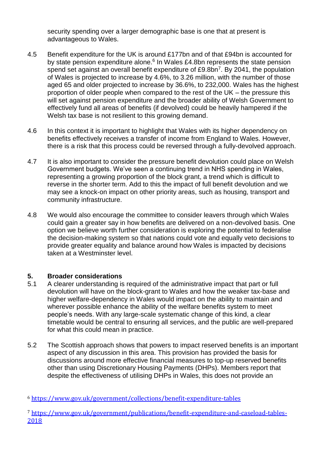security spending over a larger demographic base is one that at present is advantageous to Wales.

- 4.5 Benefit expenditure for the UK is around £177bn and of that £94bn is accounted for by state pension expenditure alone. $6$  In Wales £4.8bn represents the state pension spend set against an overall benefit expenditure of £9.8bn<sup>7</sup>. By 2041, the population of Wales is projected to increase by 4.6%, to 3.26 million, with the number of those aged 65 and older projected to increase by 36.6%, to 232,000. Wales has the highest proportion of older people when compared to the rest of the UK – the pressure this will set against pension expenditure and the broader ability of Welsh Government to effectively fund all areas of benefits (if devolved) could be heavily hampered if the Welsh tax base is not resilient to this growing demand.
- 4.6 In this context it is important to highlight that Wales with its higher dependency on benefits effectively receives a transfer of income from England to Wales. However, there is a risk that this process could be reversed through a fully-devolved approach.
- 4.7 It is also important to consider the pressure benefit devolution could place on Welsh Government budgets. We've seen a continuing trend in NHS spending in Wales, representing a growing proportion of the block grant, a trend which is difficult to reverse in the shorter term. Add to this the impact of full benefit devolution and we may see a knock-on impact on other priority areas, such as housing, transport and community infrastructure.
- 4.8 We would also encourage the committee to consider leavers through which Wales could gain a greater say in how benefits are delivered on a non-devolved basis. One option we believe worth further consideration is exploring the potential to federalise the decision-making system so that nations could vote and equally veto decisions to provide greater equality and balance around how Wales is impacted by decisions taken at a Westminster level.

#### **5. Broader considerations**

- 5.1 A clearer understanding is required of the administrative impact that part or full devolution will have on the block-grant to Wales and how the weaker tax-base and higher welfare-dependency in Wales would impact on the ability to maintain and wherever possible enhance the ability of the welfare benefits system to meet people's needs. With any large-scale systematic change of this kind, a clear timetable would be central to ensuring all services, and the public are well-prepared for what this could mean in practice.
- 5.2 The Scottish approach shows that powers to impact reserved benefits is an important aspect of any discussion in this area. This provision has provided the basis for discussions around more effective financial measures to top-up reserved benefits other than using Discretionary Housing Payments (DHPs). Members report that despite the effectiveness of utilising DHPs in Wales, this does not provide an

<sup>6</sup> <https://www.gov.uk/government/collections/benefit-expenditure-tables>

<sup>7</sup> [https://www.gov.uk/government/publications/benefit-expenditure-and-caseload-tables-](https://www.gov.uk/government/publications/benefit-expenditure-and-caseload-tables-2018)[2018](https://www.gov.uk/government/publications/benefit-expenditure-and-caseload-tables-2018)